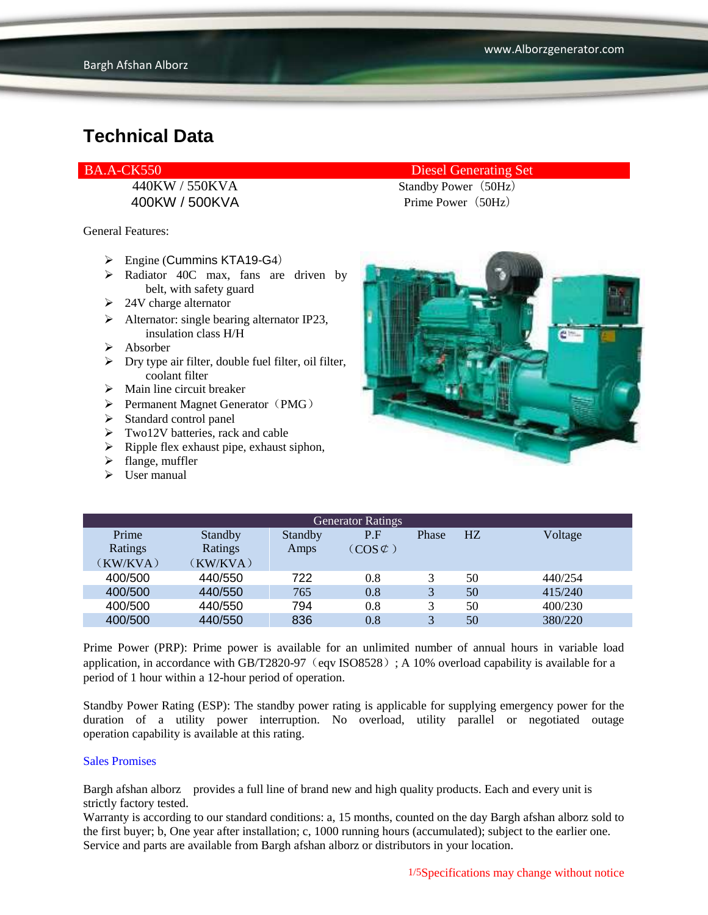400KW / 500KVA Prime Power (50Hz)

General Features:

- $\triangleright$  Engine (Cummins KTA19-G4)
- $\triangleright$  Radiator 40C max, fans are driven by belt, with safety guard
- $\geq 24V$  charge alternator
- $\triangleright$  Alternator: single bearing alternator IP23, insulation class H/H
- Absorber
- $\triangleright$  Dry type air filter, double fuel filter, oil filter, coolant filter
- $\triangleright$  Main line circuit breaker
- $\triangleright$  Permanent Magnet Generator (PMG)
- $\triangleright$  Standard control panel
- > Two12V batteries, rack and cable
- $\triangleright$  Ripple flex exhaust pipe, exhaust siphon,
- $\blacktriangleright$  flange, muffler
- $\triangleright$  User manual

#### BA.A-CK550 Diesel Generating Set

440KW / 550KVA Standby Power (50Hz)



| <b>Generator Ratings</b> |                |         |                     |              |    |         |
|--------------------------|----------------|---------|---------------------|--------------|----|---------|
| Prime                    | <b>Standby</b> | Standby | P.F                 | Phase        | HZ | Voltage |
| Ratings                  | Ratings        | Amps    | $(COS \mathcal{C})$ |              |    |         |
| (KW/KVA)                 | (KW/KVA)       |         |                     |              |    |         |
| 400/500                  | 440/550        | 722     | 0.8                 |              | 50 | 440/254 |
| 400/500                  | 440/550        | 765     | 0.8                 | 3            | 50 | 415/240 |
| 400/500                  | 440/550        | 794     | 0.8                 | 3            | 50 | 400/230 |
| 400/500                  | 440/550        | 836     | 0.8                 | $\mathbf{R}$ | 50 | 380/220 |

Prime Power (PRP): Prime power is available for an unlimited number of annual hours in variable load application, in accordance with GB/T2820-97 (eqv ISO8528); A 10% overload capability is available for a period of 1 hour within a 12-hour period of operation.

Standby Power Rating (ESP): The standby power rating is applicable for supplying emergency power for the duration of a utility power interruption. No overload, utility parallel or negotiated outage operation capability is available at this rating.

#### Sales Promises

Bargh afshan alborz provides a full line of brand new and high quality products. Each and every unit is strictly factory tested.

Warranty is according to our standard conditions: a, 15 months, counted on the day Bargh afshan alborz sold to the first buyer; b, One year after installation; c, 1000 running hours (accumulated); subject to the earlier one. Service and parts are available from Bargh afshan alborz or distributors in your location.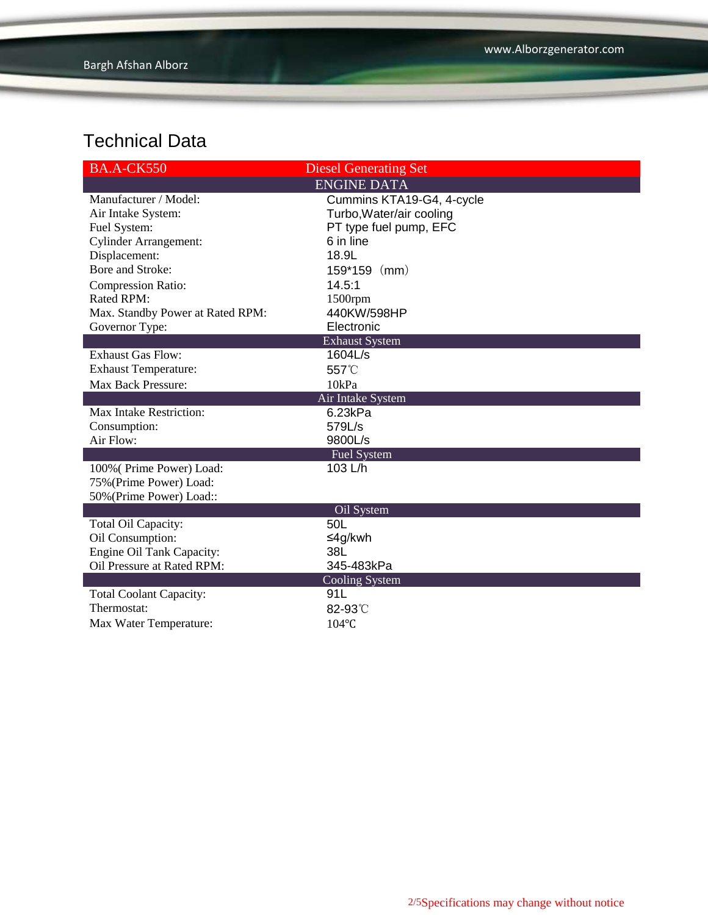| <b>BA.A-CK550</b>                | <b>Diesel Generating Set</b> |  |  |  |  |
|----------------------------------|------------------------------|--|--|--|--|
|                                  | <b>ENGINE DATA</b>           |  |  |  |  |
| Manufacturer / Model:            | Cummins KTA19-G4, 4-cycle    |  |  |  |  |
| Air Intake System:               | Turbo, Water/air cooling     |  |  |  |  |
| Fuel System:                     | PT type fuel pump, EFC       |  |  |  |  |
| <b>Cylinder Arrangement:</b>     | 6 in line                    |  |  |  |  |
| Displacement:                    | 18.9L                        |  |  |  |  |
| Bore and Stroke:                 | $159*159$ (mm)               |  |  |  |  |
| <b>Compression Ratio:</b>        | 14.5:1                       |  |  |  |  |
| Rated RPM:                       | $1500$ rpm                   |  |  |  |  |
| Max. Standby Power at Rated RPM: | 440KW/598HP                  |  |  |  |  |
| Governor Type:                   | Electronic                   |  |  |  |  |
| <b>Exhaust System</b>            |                              |  |  |  |  |
| <b>Exhaust Gas Flow:</b>         | 1604L/s                      |  |  |  |  |
| <b>Exhaust Temperature:</b>      | 557°C                        |  |  |  |  |
| Max Back Pressure:               | 10kPa                        |  |  |  |  |
| Air Intake System                |                              |  |  |  |  |
| <b>Max Intake Restriction:</b>   | 6.23kPa                      |  |  |  |  |
| Consumption:                     | 579L/s                       |  |  |  |  |
| Air Flow:                        | 9800L/s                      |  |  |  |  |
|                                  | <b>Fuel System</b>           |  |  |  |  |
| 100% (Prime Power) Load:         | 103 L/h                      |  |  |  |  |
| 75% (Prime Power) Load:          |                              |  |  |  |  |
| 50% (Prime Power) Load::         |                              |  |  |  |  |
|                                  | Oil System                   |  |  |  |  |
| Total Oil Capacity:              | 50L                          |  |  |  |  |
| Oil Consumption:                 | ≤4g/kwh                      |  |  |  |  |
| <b>Engine Oil Tank Capacity:</b> | 38L                          |  |  |  |  |
| Oil Pressure at Rated RPM:       | 345-483kPa                   |  |  |  |  |
|                                  | <b>Cooling System</b><br>91L |  |  |  |  |
| <b>Total Coolant Capacity:</b>   |                              |  |  |  |  |
| Thermostat:                      | 82-93°C                      |  |  |  |  |
| Max Water Temperature:           | $104$ °C                     |  |  |  |  |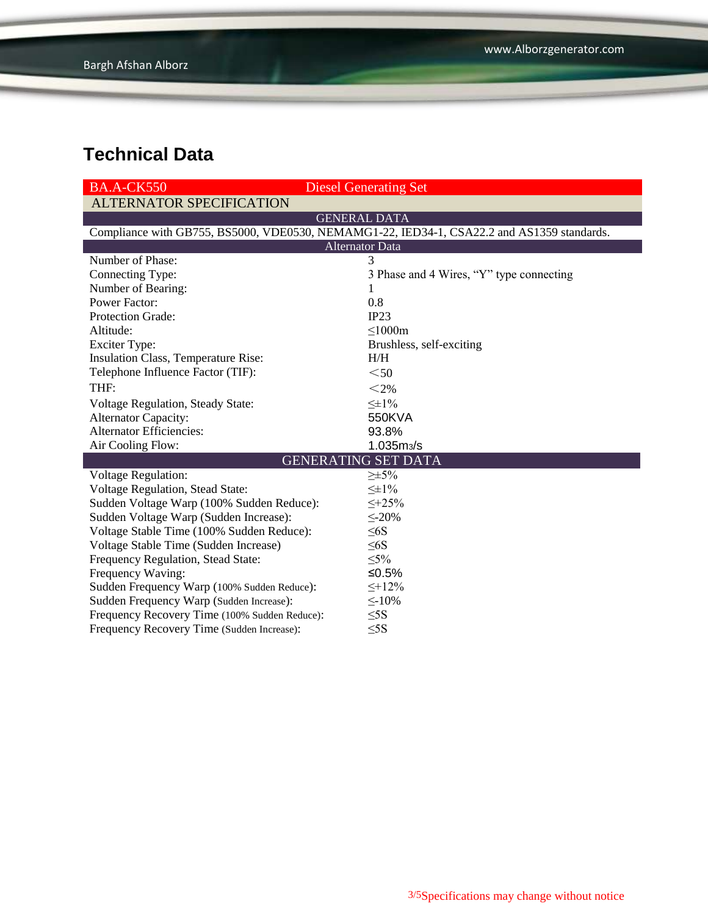| <b>BA.A-CK550</b>                             | <b>Diesel Generating Set</b>                                                               |  |  |  |  |
|-----------------------------------------------|--------------------------------------------------------------------------------------------|--|--|--|--|
| <b>ALTERNATOR SPECIFICATION</b>               |                                                                                            |  |  |  |  |
|                                               | <b>GENERAL DATA</b>                                                                        |  |  |  |  |
|                                               | Compliance with GB755, BS5000, VDE0530, NEMAMG1-22, IED34-1, CSA22.2 and AS1359 standards. |  |  |  |  |
| <b>Alternator Data</b>                        |                                                                                            |  |  |  |  |
| Number of Phase:                              | $\mathbf{R}$                                                                               |  |  |  |  |
| Connecting Type:                              | 3 Phase and 4 Wires, "Y" type connecting                                                   |  |  |  |  |
| Number of Bearing:                            |                                                                                            |  |  |  |  |
| <b>Power Factor:</b>                          | 0.8                                                                                        |  |  |  |  |
| Protection Grade:                             | IP23                                                                                       |  |  |  |  |
| Altitude:                                     | $\leq$ 1000m                                                                               |  |  |  |  |
| <b>Exciter Type:</b>                          | Brushless, self-exciting                                                                   |  |  |  |  |
| Insulation Class, Temperature Rise:           | H/H                                                                                        |  |  |  |  |
| Telephone Influence Factor (TIF):             | $50$                                                                                       |  |  |  |  |
| THF:                                          | $<$ 2%                                                                                     |  |  |  |  |
| Voltage Regulation, Steady State:             | $\leq \pm 1\%$                                                                             |  |  |  |  |
| <b>Alternator Capacity:</b>                   | 550KVA                                                                                     |  |  |  |  |
| <b>Alternator Efficiencies:</b>               | 93.8%                                                                                      |  |  |  |  |
| Air Cooling Flow:                             | $1.035 \, \text{m}$ <sub>3</sub> /s                                                        |  |  |  |  |
|                                               | <b>GENERATING SET DATA</b>                                                                 |  |  |  |  |
| <b>Voltage Regulation:</b>                    | $\geq \pm 5\%$                                                                             |  |  |  |  |
| <b>Voltage Regulation, Stead State:</b>       | $\leq \pm 1\%$                                                                             |  |  |  |  |
| Sudden Voltage Warp (100% Sudden Reduce):     | $\leq +25\%$                                                                               |  |  |  |  |
| Sudden Voltage Warp (Sudden Increase):        | $\leq 20\%$                                                                                |  |  |  |  |
| Voltage Stable Time (100% Sudden Reduce):     | $\leq 6S$                                                                                  |  |  |  |  |
| Voltage Stable Time (Sudden Increase)         | $\leq 6S$                                                                                  |  |  |  |  |
| Frequency Regulation, Stead State:            | $\leq 5\%$                                                                                 |  |  |  |  |
| Frequency Waving:                             | ≤0.5%                                                                                      |  |  |  |  |
| Sudden Frequency Warp (100% Sudden Reduce):   | $\leq +12\%$                                                                               |  |  |  |  |
| Sudden Frequency Warp (Sudden Increase):      | $\leq$ -10%                                                                                |  |  |  |  |
| Frequency Recovery Time (100% Sudden Reduce): | $\leq$ 5S                                                                                  |  |  |  |  |
| Frequency Recovery Time (Sudden Increase):    | $\leq$ 5S                                                                                  |  |  |  |  |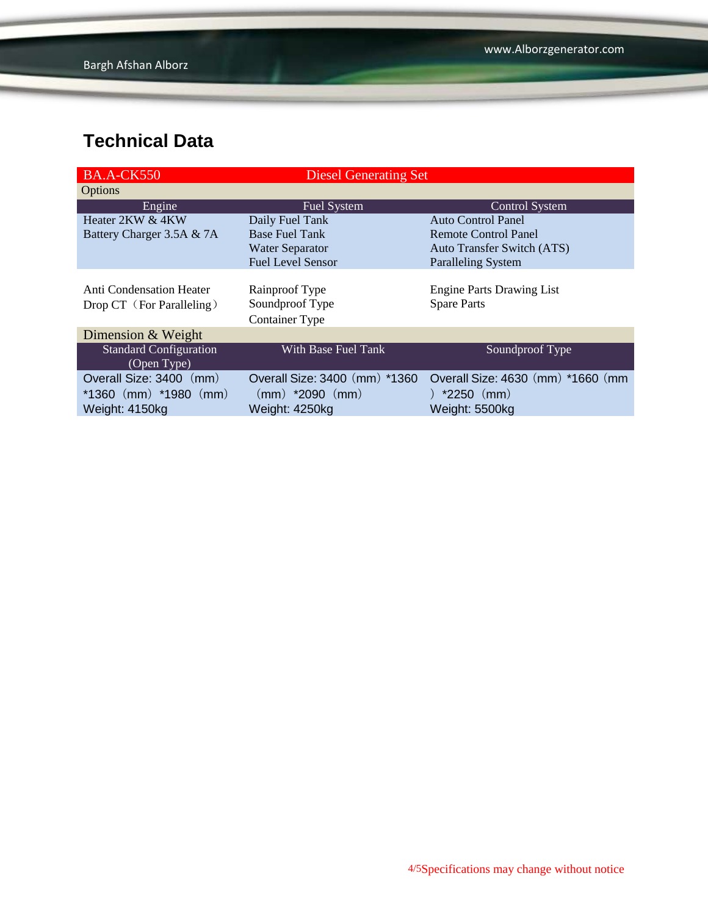| <b>BA.A-CK550</b>             | <b>Diesel Generating Set</b>  |                                    |
|-------------------------------|-------------------------------|------------------------------------|
| Options                       |                               |                                    |
| Engine                        | Fuel System                   | <b>Control System</b>              |
| Heater 2KW & 4KW              | Daily Fuel Tank               | Auto Control Panel                 |
| Battery Charger 3.5A & 7A     | <b>Base Fuel Tank</b>         | <b>Remote Control Panel</b>        |
|                               | <b>Water Separator</b>        | <b>Auto Transfer Switch (ATS)</b>  |
|                               | <b>Fuel Level Sensor</b>      | <b>Paralleling System</b>          |
|                               |                               |                                    |
| Anti Condensation Heater      | Rainproof Type                | <b>Engine Parts Drawing List</b>   |
| Drop CT (For Paralleling)     | Soundproof Type               | <b>Spare Parts</b>                 |
|                               | <b>Container Type</b>         |                                    |
| Dimension & Weight            |                               |                                    |
| <b>Standard Configuration</b> | With Base Fuel Tank           | Soundproof Type                    |
| (Open Type)                   |                               |                                    |
| Overall Size: 3400 (mm)       | Overall Size: 3400 (mm) *1360 | Overall Size: 4630 (mm) *1660 (mm) |
| $*1360$ (mm) $*1980$ (mm)     | (mm) *2090 (mm)               | ) $*2250$ (mm)                     |
| Weight: 4150kg                | Weight: 4250kg                | Weight: 5500kg                     |